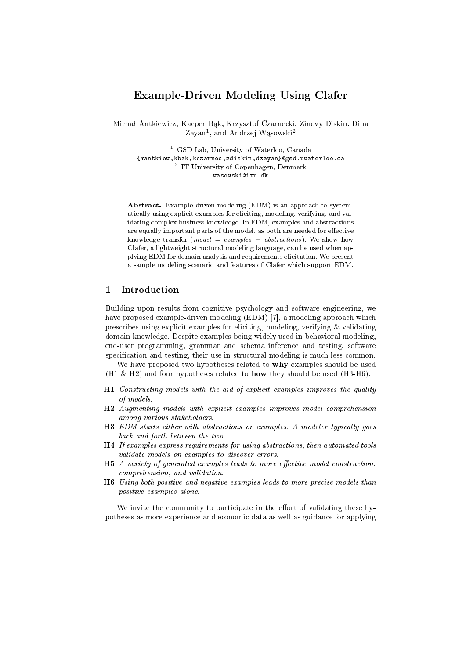# Example-Driven Modeling Using Clafer

Michał Antkiewicz, Kacper Bąk, Krzysztof Czarnecki, Zinovy Diskin, Dina Zayan<sup>1</sup>, and Andrzej Wąsowski<sup>2</sup>

<sup>1</sup> GSD Lab, University of Waterloo, Canada {mantkiew,kbak,kczarnec,zdiskin,dzayan}@gsd.uwaterloo.ca 2 IT University of Copenhagen, Denmark wasowski@itu.dk

Abstract. Example-driven modeling (EDM) is an approach to systematically using explicit examples for eliciting, modeling, verifying, and validating complex business knowledge. In EDM, examples and abstractions are equally important parts of the model, as both are needed for effective knowledge transfer (*model* =  $examples + abstractions$ ). We show how Clafer, a lightweight structural modeling language, can be used when applying EDM for domain analysis and requirements elicitation. We present a sample modeling scenario and features of Clafer which support EDM.

## 1 Introduction

Building upon results from cognitive psychology and software engineering, we have proposed example-driven modeling (EDM) [7], a modeling approach which prescribes using explicit examples for eliciting, modeling, verifying & validating domain knowledge. Despite examples being widely used in behavioral modeling, end-user programming, grammar and schema inference and testing, software specification and testing, their use in structural modeling is much less common.

We have proposed two hypotheses related to **why** examples should be used (H1  $\&$  H2) and four hypotheses related to **how** they should be used (H3-H6):

- H1 Constructing models with the aid of explicit examples improves the quality of models.
- H2 Augmenting models with explicit examples improves model comprehension among various stakeholders.
- H3 EDM starts either with abstractions or examples. A modeler typically goes back and forth between the two.
- H4 If examples express requirements for using abstractions, then automated tools validate models on examples to discover errors.
- $H5$  A variety of generated examples leads to more effective model construction, comprehension, and validation.
- H6 Using both positive and negative examples leads to more precise models than positive examples alone.

We invite the community to participate in the effort of validating these hypotheses as more experience and economic data as well as guidance for applying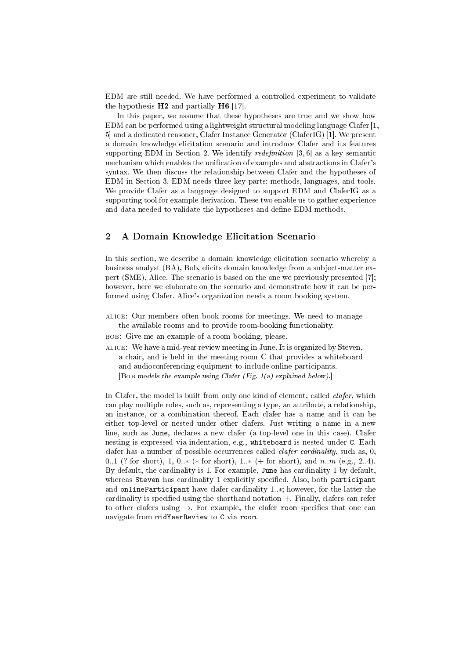EDM are still needed. We have performed a controlled experiment to validate the hypothesis  $H2$  and partially  $H6$  [17].

In this paper, we assume that these hypotheses are true and we show how EDM can be performed using a lightweight structural modeling language Clafer [1, 5] and a dedicated reasoner, Clafer Instance Generator (ClaferIG) [1]. We present a domain knowledge elicitation scenario and introduce Clafer and its features supporting EDM in Section 2. We identify *redefinition* [3, 6] as a key semantic mechanism which enables the unification of examples and abstractions in Clafer's syntax. We then discuss the relationship between Clafer and the hypotheses of EDM in Section 3. EDM needs three key parts: methods, languages, and tools. We provide Clafer as a language designed to support EDM and ClaferIG as a supporting tool for example derivation. These two enable us to gather experience and data needed to validate the hypotheses and define EDM methods.

# 2 A Domain Knowledge Elicitation Scenario

In this section, we describe a domain knowledge elicitation scenario whereby a business analyst (BA), Bob, elicits domain knowledge from a subject-matter expert (SME), Alice. The scenario is based on the one we previously presented [7]; however, here we elaborate on the scenario and demonstrate how it can be performed using Clafer. Alice's organization needs a room booking system.

- alice: Our members often book rooms for meetings. We need to manage the available rooms and to provide room-booking functionality.
- bob: Give me an example of a room booking, please.
- alice: We have a mid-year review meeting in June. It is organized by Steven, a chair, and is held in the meeting room C that provides a whiteboard and audioconferencing equipment to include online participants. [Bob models the example using Clafer (Fig. 1(a) explained below).]

In Clafer, the model is built from only one kind of element, called *clafer*, which can play multiple roles, such as, representing a type, an attribute, a relationship, an instance, or a combination thereof. Each clafer has a name and it can be either top-level or nested under other clafers. Just writing a name in a new line, such as June, declares a new clafer (a top-level one in this case). Clafer nesting is expressed via indentation, e.g., whiteboard is nested under C. Each clafer has a number of possible occurrences called *clafer cardinality*, such as, 0, 0..1 (? for short), 1, 0.. $*$  ( $*$  for short), 1.. $*$  (+ for short), and n.m (e.g., 2..4). By default, the cardinality is 1. For example, June has cardinality 1 by default, whereas Steven has cardinality 1 explicitly specified. Also, both participant and onlineParticipant have clafer cardinality 1..∗; however, for the latter the cardinality is specified using the shorthand notation  $+$ . Finally, clafers can refer to other clafers using  $\rightarrow$ . For example, the clafer room specifies that one can navigate from midYearReview to C via room.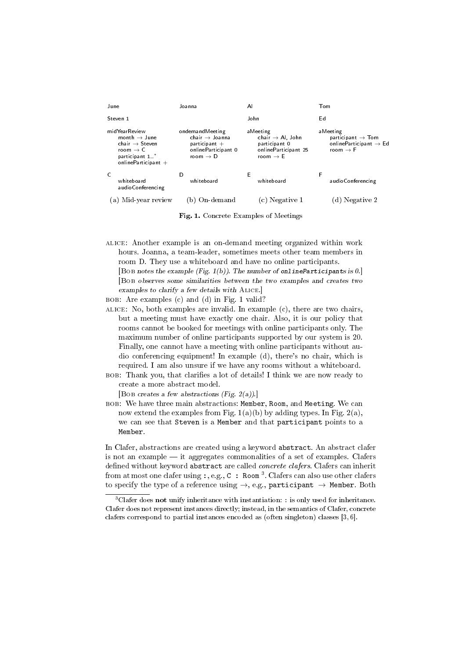| June                                                                                                                                         | Joanna                                                                                                          | A                                                                                                         | Tom                                                                                                     |
|----------------------------------------------------------------------------------------------------------------------------------------------|-----------------------------------------------------------------------------------------------------------------|-----------------------------------------------------------------------------------------------------------|---------------------------------------------------------------------------------------------------------|
| Steven 1                                                                                                                                     |                                                                                                                 | John                                                                                                      | Ed                                                                                                      |
| midYearReview<br>month $\rightarrow$ June<br>chair $\rightarrow$ Steven<br>room $\rightarrow$ C<br>participant 1 *<br>online Participant $+$ | ondemandMeeting<br>chair $\rightarrow$ Joanna<br>$participant +$<br>onlineParticipant 0<br>room $\rightarrow$ D | aMeeting<br>chair $\rightarrow$ Al, John<br>participant 0<br>onlineParticipant 25<br>room $\rightarrow$ E | aMeeting<br>participant $\rightarrow$ Tom<br>onlineParticipant $\rightarrow$ Ed<br>room $\rightarrow$ F |
| C<br>whiteboard<br>audioConferencing                                                                                                         | D<br>whiteboard                                                                                                 | Е<br>whiteboard                                                                                           | F<br>audioConferencing                                                                                  |
| Mid-year review<br>a                                                                                                                         | On-demand                                                                                                       | Negative 1                                                                                                | Negative 2                                                                                              |

Fig. 1. Concrete Examples of Meetings

- alice: Another example is an on-demand meeting organized within work hours. Joanna, a team-leader, sometimes meets other team members in room D. They use a whiteboard and have no online participants. [Bob notes the example (Fig. 1(b)). The number of onlineParticipants is 0.] [Bob observes some similarities between the two examples and creates two
- examples to clarify a few details with Alice.]
- bob: Are examples (c) and (d) in Fig. 1 valid?
- ALICE: No, both examples are invalid. In example  $(c)$ , there are two chairs, but a meeting must have exactly one chair. Also, it is our policy that rooms cannot be booked for meetings with online participants only. The maximum number of online participants supported by our system is 20. Finally, one cannot have a meeting with online participants without audio conferencing equipment! In example (d), there's no chair, which is required. I am also unsure if we have any rooms without a whiteboard.
- bob: Thank you, that claries a lot of details! I think we are now ready to create a more abstract model.

[Bob creates a few abstractions (Fig. 2(a)).]

bob: We have three main abstractions: Member, Room, and Meeting. We can now extend the examples from Fig.  $1(a)(b)$  by adding types. In Fig.  $2(a)$ , we can see that Steven is a Member and that participant points to a Member.

In Clafer, abstractions are created using a keyword abstract. An abstract clafer is not an example  $-$  it aggregates commonalities of a set of examples. Clafers defined without keyword abstract are called *concrete clafers*. Clafers can inherit from at most one clafer using :, e.g.,  $C$  : Room<sup>3</sup>. Clafers can also use other clafers to specify the type of a reference using  $\rightarrow$ , e.g., participant  $\rightarrow$  Member. Both

<sup>3</sup>Clafer does not unify inheritance with instantiation: : is only used for inheritance. Clafer does not represent instances directly; instead, in the semantics of Clafer, concrete clafers correspond to partial instances encoded as (often singleton) classes [3, 6].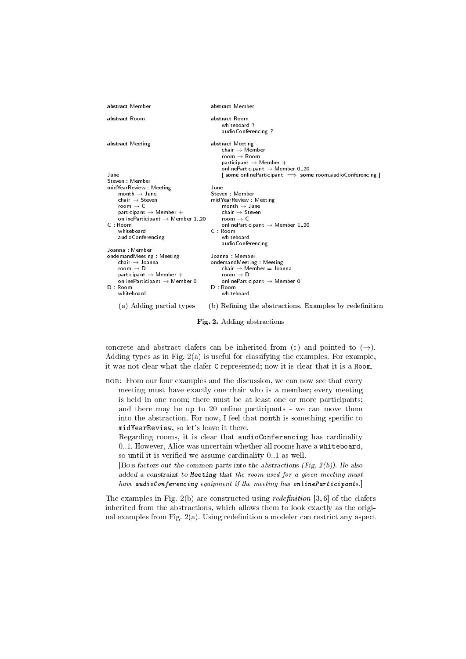| abstract Member                                                                                                                                                                                                                                   | abstract Member                                                                                                                                                                                              |
|---------------------------------------------------------------------------------------------------------------------------------------------------------------------------------------------------------------------------------------------------|--------------------------------------------------------------------------------------------------------------------------------------------------------------------------------------------------------------|
| abstract Room                                                                                                                                                                                                                                     | abstract Room<br>whiteboard?<br>audioConferencing ?                                                                                                                                                          |
| abstract Meeting                                                                                                                                                                                                                                  | abstract Meeting<br>chair $\rightarrow$ Member<br>room $\rightarrow$ Room<br>participant $\rightarrow$ Member $+$<br>online Participant $\rightarrow$ Member 0.20                                            |
| June                                                                                                                                                                                                                                              | $\lceil$ some onlineParticipant $\implies$ some room audioConferencing $\lceil$                                                                                                                              |
| Steven Member                                                                                                                                                                                                                                     |                                                                                                                                                                                                              |
| mid Year Review Meeting<br>month $\rightarrow$ June<br>chair $\rightarrow$ Steven<br>room $\rightarrow$ C<br>participant $\rightarrow$ Member $+$<br>online Participant $\rightarrow$ Member 1 20<br>$C:$ Room<br>whiteboard<br>audioConferencing | June<br>Steven Member<br>mid Year Review Meeting<br>month $\rightarrow$ June<br>chair $\rightarrow$ Steven<br>room $\rightarrow$ C<br>online Participant $\rightarrow$ Member 1 20<br>C : Room<br>whiteboard |
|                                                                                                                                                                                                                                                   | audioConferencing                                                                                                                                                                                            |
| Joanna Member<br>ondemandMeeting Meeting<br>chair $\rightarrow$ Joanna<br>room $\rightarrow$ D<br>participant $\rightarrow$ Member $+$<br>onlineParticipant $\rightarrow$ Member 0<br>D : Room<br>whiteboard                                      | Joanna Member<br>ondemandMeeting Meeting<br>chair $\rightarrow$ Member $=$ Joanna<br>room $\rightarrow$ D<br>onlineParticipant $\rightarrow$ Member 0<br>D : Room<br>whiteboard                              |
| (a) Adding partial types                                                                                                                                                                                                                          | (b) Refining the abstractions. Examples by redefinition                                                                                                                                                      |

#### Fig. 2. Adding abstractions

concrete and abstract clafers can be inherited from (:) and pointed to  $(\rightarrow)$ . Adding types as in Fig.  $2(a)$  is useful for classifying the examples. For example, it was not clear what the clafer C represented; now it is clear that it is a Room.

bob: From our four examples and the discussion, we can now see that every meeting must have exactly one chair who is a member; every meeting is held in one room; there must be at least one or more participants; and there may be up to 20 online participants - we can move them into the abstraction. For now, I feel that month is something specific to midYearReview, so let's leave it there.

Regarding rooms, it is clear that audioConferencing has cardinality 0..1. However, Alice was uncertain whether all rooms have a whiteboard, so until it is verified we assume cardinality  $0.1$  as well.

[Bob factors out the common parts into the abstractions (Fig.  $2(b)$ ). He also added a constraint to Meeting that the room used for a given meeting must have audioConferencing equipment if the meeting has onlineParticipants.

The examples in Fig. 2(b) are constructed using *redefinition* [3, 6] of the clafers inherited from the abstractions, which allows them to look exactly as the original examples from Fig. 2(a). Using redefinition a modeler can restrict any aspect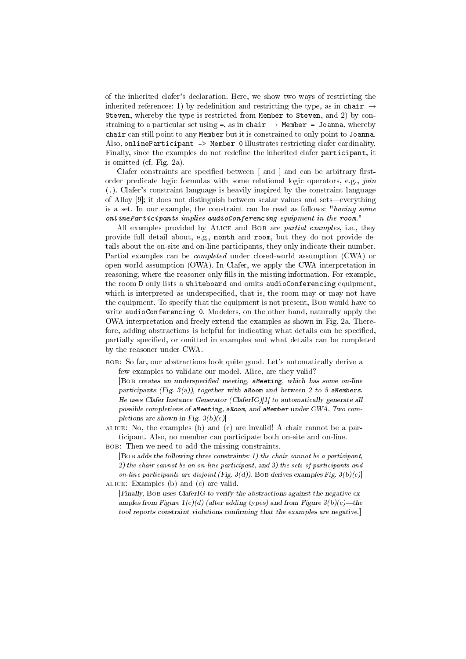of the inherited clafer's declaration. Here, we show two ways of restricting the inherited references: 1) by redefinition and restricting the type, as in chair  $\rightarrow$ Steven, whereby the type is restricted from Member to Steven, and 2) by constraining to a particular set using =, as in chair  $\rightarrow$  Member = Joanna, whereby chair can still point to any Member but it is constrained to only point to Joanna. Also, onlineParticipant -> Member 0 illustrates restricting clafer cardinality. Finally, since the examples do not redefine the inherited clafer participant, it is omitted (cf. Fig. 2a).

Clafer constraints are specified between  $\lceil$  and  $\rceil$  and can be arbitrary firstorder predicate logic formulas with some relational logic operators, e.g., join (.). Clafer's constraint language is heavily inspired by the constraint language of Alloy  $[9]$ ; it does not distinguish between scalar values and sets—everything is a set. In our example, the constraint can be read as follows: "having some onlineParticipants implies audioConferencing equipment in the room."

All examples provided by ALICE and BOB are *partial examples*, i.e., they provide full detail about, e.g., month and room, but they do not provide details about the on-site and on-line participants, they only indicate their number. Partial examples can be completed under closed-world assumption (CWA) or open-world assumption (OWA). In Clafer, we apply the CWA interpretation in reasoning, where the reasoner only fills in the missing information. For example, the room D only lists a whiteboard and omits audioConferencing equipment, which is interpreted as underspecified, that is, the room may or may not have the equipment. To specify that the equipment is not present, BOB would have to write audioConferencing 0. Modelers, on the other hand, naturally apply the OWA interpretation and freely extend the examples as shown in Fig. 2a. Therefore, adding abstractions is helpful for indicating what details can be specified, partially specified, or omitted in examples and what details can be completed by the reasoner under CWA.

bob: So far, our abstractions look quite good. Let's automatically derive a few examples to validate our model. Alice, are they valid?

[BOB creates an underspecified meeting, aMeeting, which has some on-line participants (Fig. 3(a)), together with a Room and between 2 to 5 a Members. He uses Clafer Instance Generator (ClaferIG)[1] to automatically generate all possible completions of aMeeting, aRoom, and aMember under CWA. Two completions are shown in Fig.  $3(b)(c)$ ]

- alice: No, the examples (b) and (c) are invalid! A chair cannot be a participant. Also, no member can participate both on-site and on-line.
- bob: Then we need to add the missing constraints.
- [Bob adds the following three constraints: 1) the chair cannot be a participant, 2) the chair cannot be an on-line participant, and 3) the sets of participants and on-line participants are disjoint (Fig. 3(d)). Bob derives examples Fig. 3(b)(c) alice: Examples (b) and (c) are valid.
	- [Finally, Bob uses ClaferIG to verify the abstractions against the negative examples from Figure 1(c)(d) (after adding types) and from Figure 3(b)(c)—the tool reports constraint violations confirming that the examples are negative.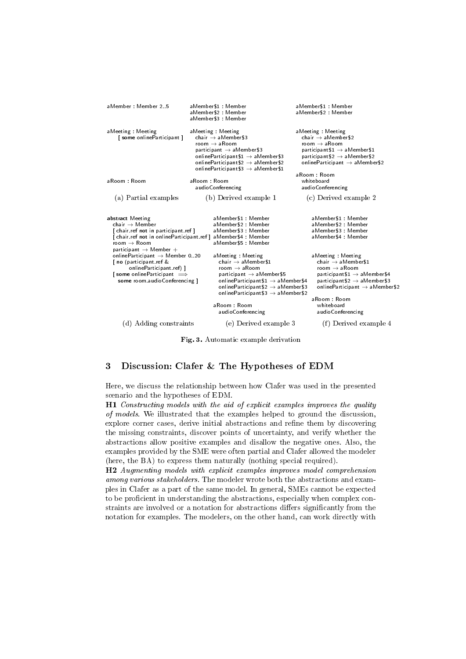| aMember Member 2.5                                                                                                                                                                                                       | aMember\$1 Member<br>aMember\$2: Member<br>aMember\$3 : Member                                                                                                                                                                                                                        | aMember\$1 Member<br>aMember\$2: Member                                                                                                                                                                                    |
|--------------------------------------------------------------------------------------------------------------------------------------------------------------------------------------------------------------------------|---------------------------------------------------------------------------------------------------------------------------------------------------------------------------------------------------------------------------------------------------------------------------------------|----------------------------------------------------------------------------------------------------------------------------------------------------------------------------------------------------------------------------|
| aMeeting Meeting<br>Some onlineParticipant                                                                                                                                                                               | aMeeting Meeting<br>chair $\rightarrow$ aMember\$3<br>room $\rightarrow$ aRoom<br>participant $\rightarrow$ aMember \$3<br>online Participant $$1 \rightarrow a$ Member \$3<br>online Participant \$2 $\rightarrow$ a Member \$2<br>online Participant $$3 \rightarrow a$ Member $$1$ | aMeeting Meeting<br>chair $\rightarrow$ aMember\$2<br>room $\rightarrow$ aRoom<br>participant $$1 \rightarrow a$ Member $$1$<br>participant \$2 $\rightarrow$ aMember \$2<br>online $\sf{Participant} \to \sf{aMember\$2}$ |
| aRoom Room                                                                                                                                                                                                               | aRoom : Room<br>audioConferencing                                                                                                                                                                                                                                                     | aRoom: Room<br>whiteboard<br>audioConferencing                                                                                                                                                                             |
| (a) Partial examples                                                                                                                                                                                                     | (b) Derived example 1                                                                                                                                                                                                                                                                 | (c) Derived example 2                                                                                                                                                                                                      |
| abstract Meeting<br>chair $\rightarrow$ Member<br>chair ref not in participant ref  <br>room $\rightarrow$ Room                                                                                                          | aMember\$1 : Member<br>aMember\$2: Member<br>aMember\$3 : Member<br>[chair.ref not in onlineParticipant.ref ] aMember\$4 : Member<br>aMember\$5 Member                                                                                                                                | aMember\$1 Member<br>aMember\$2 : Member<br>aMember\$3 : Member<br>aMember\$4 Member                                                                                                                                       |
| participant $\rightarrow$ Member $+$<br>onlineParticipant $\rightarrow$ Member 0.20<br>no (participant ref &<br>onlineParticipant ref)  <br>$\vert$ some online Participant $\Rightarrow$<br>some room audioConferencing | aMeeting Meeting<br>chair $\rightarrow$ aMember\$1<br>room $\rightarrow$ aRoom<br>participant $\rightarrow$ aMember \$5<br>online Participant $$1 \rightarrow a$ Member $$4$<br>online Participant $$2 \rightarrow a$ Member \$3<br>online Participant $$3 \rightarrow a$ Member $$2$ | aMeeting Meeting<br>chair $\rightarrow$ aMember\$1<br>room $\rightarrow$ aRoom<br>participant $$1 \rightarrow a$ Member $$4$<br>participant \$2 $\rightarrow$ a Member \$3<br>onlineParticipant $\rightarrow$ aMember\$2   |
|                                                                                                                                                                                                                          | aRoom Room<br>audioConferencing                                                                                                                                                                                                                                                       | aRoom: Room<br>whiteboard<br>audioConferencing                                                                                                                                                                             |
| d) Adding constraints                                                                                                                                                                                                    | (e) Derived example 3                                                                                                                                                                                                                                                                 | (f) Derived example 4                                                                                                                                                                                                      |

Fig. 3. Automatic example derivation

# 3 Discussion: Clafer & The Hypotheses of EDM

Here, we discuss the relationship between how Clafer was used in the presented scenario and the hypotheses of EDM.

H1 Constructing models with the aid of explicit examples improves the quality of models. We illustrated that the examples helped to ground the discussion, explore corner cases, derive initial abstractions and refine them by discovering the missing constraints, discover points of uncertainty, and verify whether the abstractions allow positive examples and disallow the negative ones. Also, the examples provided by the SME were often partial and Clafer allowed the modeler (here, the BA) to express them naturally (nothing special required).

H2 Augmenting models with explicit examples improves model comprehension among various stakeholders. The modeler wrote both the abstractions and examples in Clafer as a part of the same model. In general, SMEs cannot be expected to be proficient in understanding the abstractions, especially when complex constraints are involved or a notation for abstractions differs significantly from the notation for examples. The modelers, on the other hand, can work directly with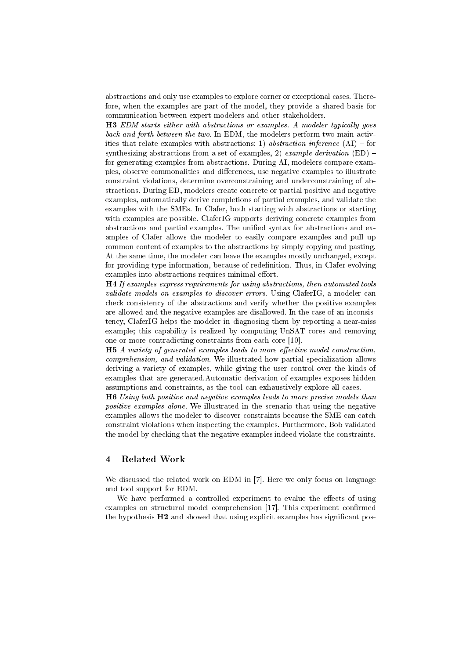abstractions and only use examples to explore corner or exceptional cases. Therefore, when the examples are part of the model, they provide a shared basis for communication between expert modelers and other stakeholders.

H3 EDM starts either with abstractions or examples. A modeler typically goes back and forth between the two. In EDM, the modelers perform two main activities that relate examples with abstractions: 1) abstraction inference  $(AI)$  – for synthesizing abstractions from a set of examples, 2) example derivation  $(ED)$  for generating examples from abstractions. During AI, modelers compare examples, observe commonalities and differences, use negative examples to illustrate constraint violations, determine overconstraining and underconstraining of abstractions. During ED, modelers create concrete or partial positive and negative examples, automatically derive completions of partial examples, and validate the examples with the SMEs. In Clafer, both starting with abstractions or starting with examples are possible. ClaferIG supports deriving concrete examples from abstractions and partial examples. The unified syntax for abstractions and examples of Clafer allows the modeler to easily compare examples and pull up common content of examples to the abstractions by simply copying and pasting. At the same time, the modeler can leave the examples mostly unchanged, except for providing type information, because of redenition. Thus, in Clafer evolving examples into abstractions requires minimal effort.

H4 If examples express requirements for using abstractions, then automated tools validate models on examples to discover errors. Using ClaferIG, a modeler can check consistency of the abstractions and verify whether the positive examples are allowed and the negative examples are disallowed. In the case of an inconsistency, ClaferIG helps the modeler in diagnosing them by reporting a near-miss example; this capability is realized by computing UnSAT cores and removing one or more contradicting constraints from each core [10].

H5 A variety of generated examples leads to more effective model construction, comprehension, and validation. We illustrated how partial specialization allows deriving a variety of examples, while giving the user control over the kinds of examples that are generated.Automatic derivation of examples exposes hidden assumptions and constraints, as the tool can exhaustively explore all cases.

H6 Using both positive and negative examples leads to more precise models than positive examples alone. We illustrated in the scenario that using the negative examples allows the modeler to discover constraints because the SME can catch constraint violations when inspecting the examples. Furthermore, Bob validated the model by checking that the negative examples indeed violate the constraints.

# 4 Related Work

We discussed the related work on EDM in [7]. Here we only focus on language and tool support for EDM.

We have performed a controlled experiment to evalue the effects of using examples on structural model comprehension [17]. This experiment confirmed the hypothesis  $H2$  and showed that using explicit examples has significant pos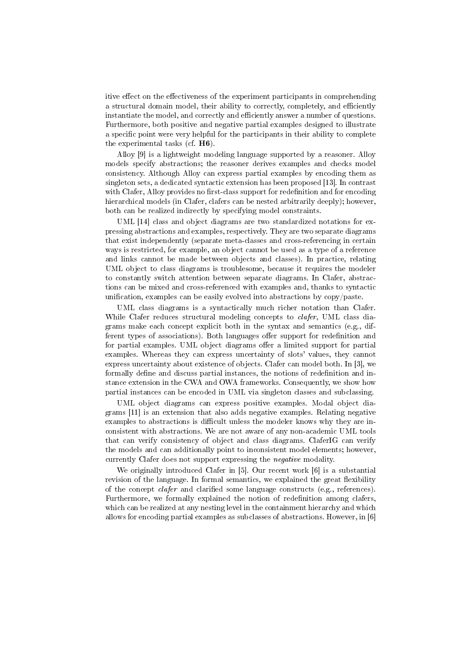itive effect on the effectiveness of the experiment participants in comprehending a structural domain model, their ability to correctly, completely, and efficiently instantiate the model, and correctly and efficiently answer a number of questions. Furthermore, both positive and negative partial examples designed to illustrate a specific point were very helpful for the participants in their ability to complete the experimental tasks (cf. H6).

Alloy [9] is a lightweight modeling language supported by a reasoner. Alloy models specify abstractions; the reasoner derives examples and checks model consistency. Although Alloy can express partial examples by encoding them as singleton sets, a dedicated syntactic extension has been proposed [13]. In contrast with Clafer, Alloy provides no first-class support for redefinition and for encoding hierarchical models (in Clafer, clafers can be nested arbitrarily deeply); however, both can be realized indirectly by specifying model constraints.

UML [14] class and object diagrams are two standardized notations for expressing abstractions and examples, respectively. They are two separate diagrams that exist independently (separate meta-classes and cross-referencing in certain ways is restricted, for example, an object cannot be used as a type of a reference and links cannot be made between objects and classes). In practice, relating UML object to class diagrams is troublesome, because it requires the modeler to constantly switch attention between separate diagrams. In Clafer, abstractions can be mixed and cross-referenced with examples and, thanks to syntactic unification, examples can be easily evolved into abstractions by  $\langle \text{copy}/\text{past} \rangle$ .

UML class diagrams is a syntactically much richer notation than Clafer. While Clafer reduces structural modeling concepts to *clafer*, UML class diagrams make each concept explicit both in the syntax and semantics (e.g., different types of associations). Both languages offer support for redefinition and for partial examples. UML object diagrams offer a limited support for partial examples. Whereas they can express uncertainty of slots' values, they cannot express uncertainty about existence of objects. Clafer can model both. In [3], we formally define and discuss partial instances, the notions of redefinition and instance extension in the CWA and OWA frameworks. Consequently, we show how partial instances can be encoded in UML via singleton classes and subclassing.

UML object diagrams can express positive examples. Modal object diagrams [11] is an extension that also adds negative examples. Relating negative examples to abstractions is difficult unless the modeler knows why they are inconsistent with abstractions. We are not aware of any non-academic UML tools that can verify consistency of object and class diagrams. ClaferIG can verify the models and can additionally point to inconsistent model elements; however, currently Clafer does not support expressing the negative modality.

We originally introduced Clafer in [5]. Our recent work [6] is a substantial revision of the language. In formal semantics, we explained the great flexibility of the concept *clafer* and clarified some language constructs (e.g., references). Furthermore, we formally explained the notion of redefinition among clafers, which can be realized at any nesting level in the containment hierarchy and which allows for encoding partial examples as subclasses of abstractions. However, in [6]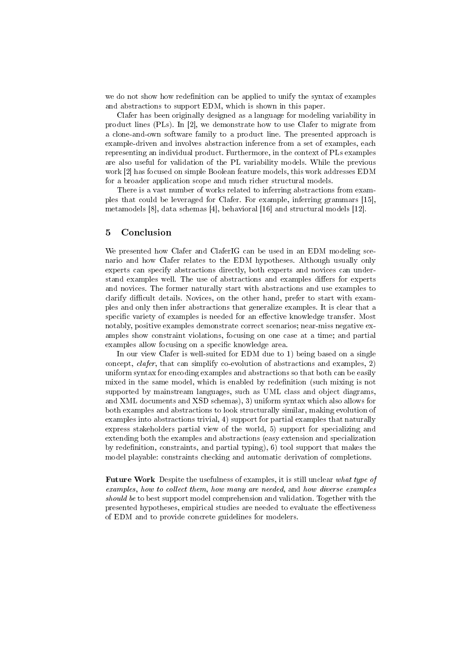we do not show how redefinition can be applied to unify the syntax of examples and abstractions to support EDM, which is shown in this paper.

Clafer has been originally designed as a language for modeling variability in product lines (PLs). In [2], we demonstrate how to use Clafer to migrate from a clone-and-own software family to a product line. The presented approach is example-driven and involves abstraction inference from a set of examples, each representing an individual product. Furthermore, in the context of PLs examples are also useful for validation of the PL variability models. While the previous work [2] has focused on simple Boolean feature models, this work addresses EDM for a broader application scope and much richer structural models.

There is a vast number of works related to inferring abstractions from examples that could be leveraged for Clafer. For example, inferring grammars [15], metamodels [8], data schemas [4], behavioral [16] and structural models [12].

## 5 Conclusion

We presented how Clafer and ClaferIG can be used in an EDM modeling scenario and how Clafer relates to the EDM hypotheses. Although usually only experts can specify abstractions directly, both experts and novices can understand examples well. The use of abstractions and examples differs for experts and novices. The former naturally start with abstractions and use examples to clarify difficult details. Novices, on the other hand, prefer to start with examples and only then infer abstractions that generalize examples. It is clear that a specific variety of examples is needed for an effective knowledge transfer. Most notably, positive examples demonstrate correct scenarios; near-miss negative examples show constraint violations, focusing on one case at a time; and partial examples allow focusing on a specific knowledge area.

In our view Clafer is well-suited for EDM due to 1) being based on a single concept, clafer, that can simplify co-evolution of abstractions and examples, 2) uniform syntax for encoding examples and abstractions so that both can be easily mixed in the same model, which is enabled by redefinition (such mixing is not supported by mainstream languages, such as UML class and object diagrams, and XML documents and XSD schemas), 3) uniform syntax which also allows for both examples and abstractions to look structurally similar, making evolution of examples into abstractions trivial, 4) support for partial examples that naturally express stakeholders partial view of the world, 5) support for specializing and extending both the examples and abstractions (easy extension and specialization by redefinition, constraints, and partial typing),  $6$ ) tool support that makes the model playable: constraints checking and automatic derivation of completions.

Future Work Despite the usefulness of examples, it is still unclear what type of examples, how to collect them, how many are needed, and how diverse examples should be to best support model comprehension and validation. Together with the presented hypotheses, empirical studies are needed to evaluate the effectiveness of EDM and to provide concrete guidelines for modelers.